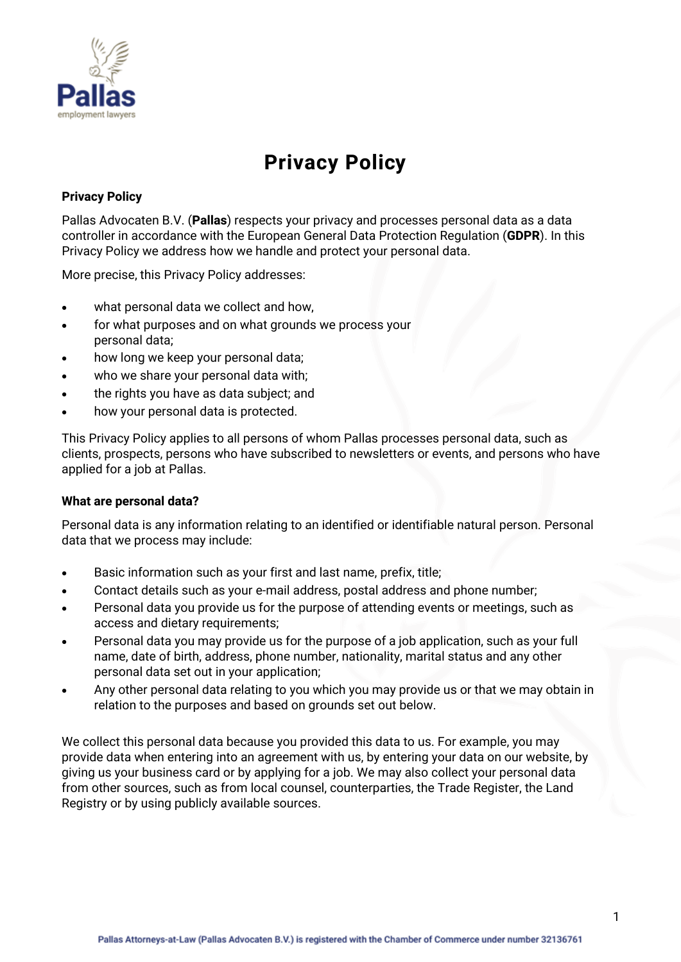

# **Privacy Policy**

# **Privacy Policy**

Pallas Advocaten B.V. (**Pallas**) respects your privacy and processes personal data as a data controller in accordance with the European General Data Protection Regulation (**GDPR**). In this Privacy Policy we address how we handle and protect your personal data.

More precise, this Privacy Policy addresses:

- what personal data we collect and how.
- for what purposes and on what grounds we process your personal data;
- how long we keep your personal data;
- who we share your personal data with;
- the rights you have as data subject; and
- how your personal data is protected.

This Privacy Policy applies to all persons of whom Pallas processes personal data, such as clients, prospects, persons who have subscribed to newsletters or events, and persons who have applied for a job at Pallas.

## **What are personal data?**

Personal data is any information relating to an identified or identifiable natural person. Personal data that we process may include:

- Basic information such as your first and last name, prefix, title;
- Contact details such as your e-mail address, postal address and phone number;
- Personal data you provide us for the purpose of attending events or meetings, such as access and dietary requirements;
- Personal data you may provide us for the purpose of a job application, such as your full name, date of birth, address, phone number, nationality, marital status and any other personal data set out in your application;
- Any other personal data relating to you which you may provide us or that we may obtain in relation to the purposes and based on grounds set out below.

We collect this personal data because you provided this data to us. For example, you may provide data when entering into an agreement with us, by entering your data on our website, by giving us your business card or by applying for a job. We may also collect your personal data from other sources, such as from local counsel, counterparties, the Trade Register, the Land Registry or by using publicly available sources.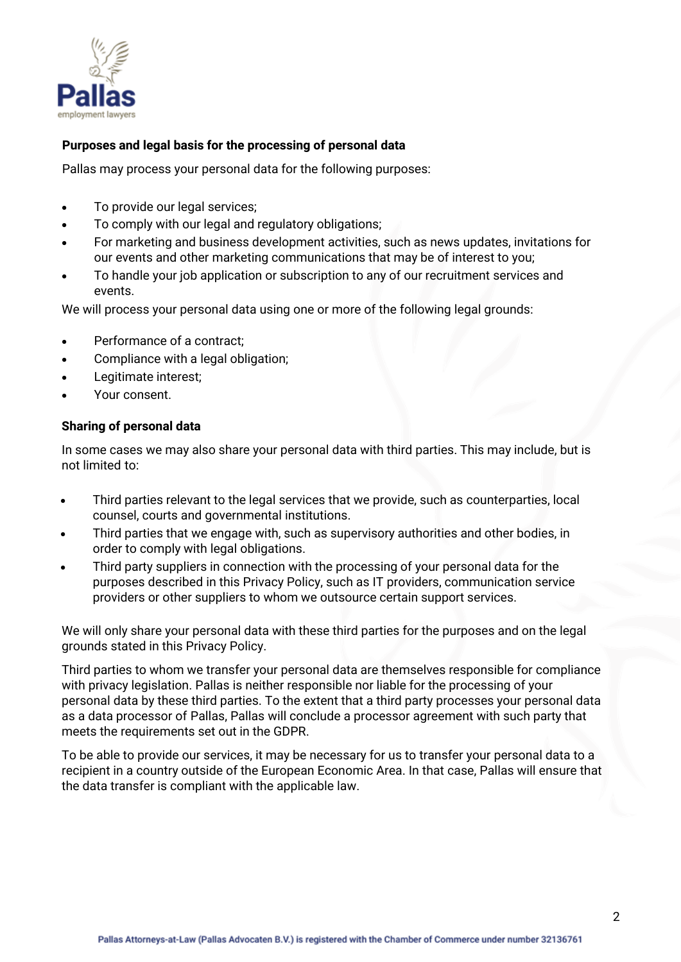

# **Purposes and legal basis for the processing of personal data**

Pallas may process your personal data for the following purposes:

- To provide our legal services:
- To comply with our legal and regulatory obligations;
- For marketing and business development activities, such as news updates, invitations for our events and other marketing communications that may be of interest to you;
- To handle your job application or subscription to any of our recruitment services and events.

We will process your personal data using one or more of the following legal grounds:

- Performance of a contract;
- Compliance with a legal obligation;
- Legitimate interest;
- Your consent.

#### **Sharing of personal data**

In some cases we may also share your personal data with third parties. This may include, but is not limited to:

- Third parties relevant to the legal services that we provide, such as counterparties, local counsel, courts and governmental institutions.
- Third parties that we engage with, such as supervisory authorities and other bodies, in order to comply with legal obligations.
- Third party suppliers in connection with the processing of your personal data for the purposes described in this Privacy Policy, such as IT providers, communication service providers or other suppliers to whom we outsource certain support services.

We will only share your personal data with these third parties for the purposes and on the legal grounds stated in this Privacy Policy.

Third parties to whom we transfer your personal data are themselves responsible for compliance with privacy legislation. Pallas is neither responsible nor liable for the processing of your personal data by these third parties. To the extent that a third party processes your personal data as a data processor of Pallas, Pallas will conclude a processor agreement with such party that meets the requirements set out in the GDPR.

To be able to provide our services, it may be necessary for us to transfer your personal data to a recipient in a country outside of the European Economic Area. In that case, Pallas will ensure that the data transfer is compliant with the applicable law.